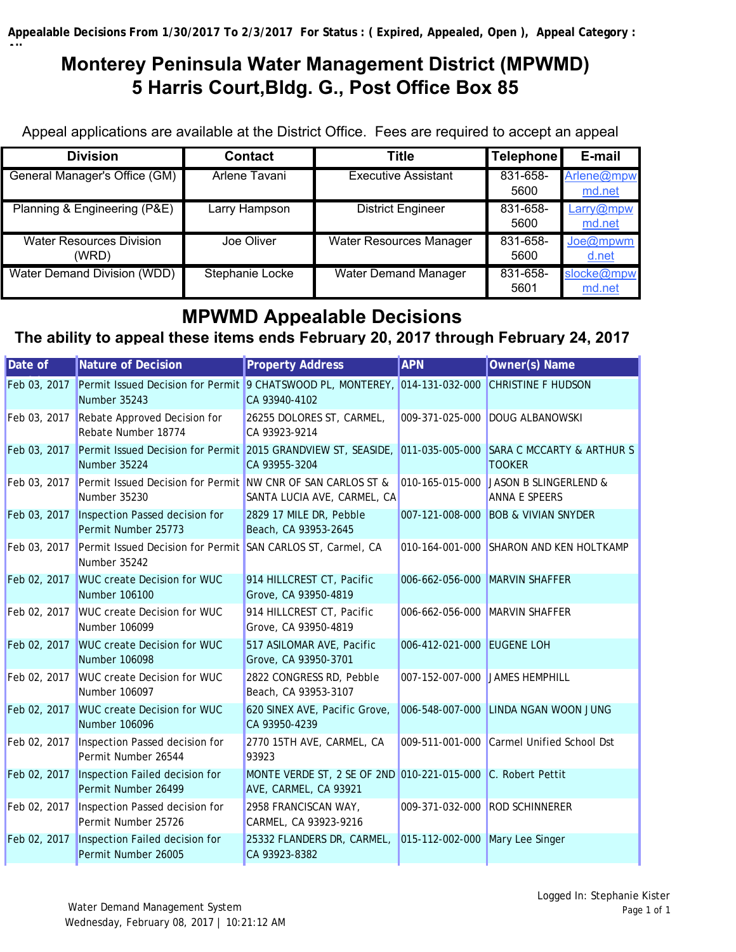**All**

# **Monterey Peninsula Water Management District (MPWMD) 5 Harris Court,Bldg. G., Post Office Box 85**

Appeal applications are available at the District Office. Fees are required to accept an appeal

| <b>Division</b>                          | <b>Contact</b>  | <b>Title</b>                   | Telephone        | E-mail               |
|------------------------------------------|-----------------|--------------------------------|------------------|----------------------|
| General Manager's Office (GM)            | Arlene Tavani   | Executive Assistant            | 831-658-<br>5600 | Arlene@mpw<br>md.net |
| Planning & Engineering (P&E)             | arry Hampson    | <b>District Engineer</b>       | 831-658-<br>5600 | Larry@mpw<br>md.net  |
| <b>Water Resources Division</b><br>(WRD) | Joe Oliver      | <b>Water Resources Manager</b> | 831-658-<br>5600 | Joe@mpwm<br>d.net    |
| Water Demand Division (WDD)              | Stephanie Locke | <b>Water Demand Manager</b>    | 831-658-<br>5601 | slocke@mpw<br>md.net |

## **MPWMD Appealable Decisions**

## **The ability to appeal these items ends February 20, 2017 through February 24, 2017**

| Date of      | Nature of Decision                                                                                                      | <b>Property Address</b>                                                               | <b>APN</b>                      | Owner(s) Name                                                 |
|--------------|-------------------------------------------------------------------------------------------------------------------------|---------------------------------------------------------------------------------------|---------------------------------|---------------------------------------------------------------|
| Feb 03, 2017 | Permit Issued Decision for Permit 9 CHATSWOOD PL, MONTEREY, 014-131-032-000<br>Number 35243                             | CA 93940-4102                                                                         |                                 | <b>CHRISTINE F HUDSON</b>                                     |
| Feb 03, 2017 | Rebate Approved Decision for<br>Rebate Number 18774                                                                     | 26255 DOLORES ST, CARMEL,<br>CA 93923-9214                                            | 009-371-025-000                 | <b>DOUG ALBANOWSKI</b>                                        |
| Feb 03, 2017 | Permit Issued Decision for Permit 2015 GRANDVIEW ST, SEASIDE, 011-035-005-000 SARA C MCCARTY & ARTHUR S<br>Number 35224 | CA 93955-3204                                                                         |                                 | <b>TOOKER</b>                                                 |
| Feb 03, 2017 | Permit Issued Decision for Permit NW CNR OF SAN CARLOS ST &<br>Number 35230                                             | SANTA LUCIA AVE, CARMEL, CA                                                           |                                 | 010-165-015-000 JASON B SLINGERLEND &<br><b>ANNA E SPEERS</b> |
| Feb 03, 2017 | Inspection Passed decision for<br>Permit Number 25773                                                                   | 2829 17 MILE DR, Pebble<br>Beach, CA 93953-2645                                       |                                 | 007-121-008-000 BOB & VIVIAN SNYDER                           |
| Feb 03, 2017 | Permit Issued Decision for Permit SAN CARLOS ST, Carmel, CA<br>Number 35242                                             |                                                                                       | 010-164-001-000                 | SHARON AND KEN HOLTKAMP                                       |
| Feb 02, 2017 | <b>WUC create Decision for WUC</b><br>Number 106100                                                                     | 914 HILLCREST CT, Pacific<br>Grove, CA 93950-4819                                     | 006-662-056-000 MARVIN SHAFFER  |                                                               |
| Feb 02, 2017 | <b>WUC create Decision for WUC</b><br>Number 106099                                                                     | 914 HILLCREST CT, Pacific<br>Grove, CA 93950-4819                                     | 006-662-056-000 MARVIN SHAFFER  |                                                               |
| Feb 02, 2017 | <b>WUC create Decision for WUC</b><br>Number 106098                                                                     | 517 ASILOMAR AVE, Pacific<br>Grove, CA 93950-3701                                     | 006-412-021-000 EUGENE LOH      |                                                               |
| Feb 02, 2017 | <b>WUC create Decision for WUC</b><br>Number 106097                                                                     | 2822 CONGRESS RD, Pebble<br>Beach, CA 93953-3107                                      | 007-152-007-000 JAMES HEMPHILL  |                                                               |
| Feb 02, 2017 | <b>WUC create Decision for WUC</b><br>Number 106096                                                                     | 620 SINEX AVE, Pacific Grove,<br>CA 93950-4239                                        | 006-548-007-000                 | LINDA NGAN WOON JUNG                                          |
| Feb 02, 2017 | Inspection Passed decision for<br>Permit Number 26544                                                                   | 2770 15TH AVE, CARMEL, CA<br>93923                                                    | 009-511-001-000                 | Carmel Unified School Dst                                     |
| Feb 02, 2017 | Inspection Failed decision for<br>Permit Number 26499                                                                   | MONTE VERDE ST, 2 SE OF 2ND 010-221-015-000 C. Robert Pettit<br>AVE, CARMEL, CA 93921 |                                 |                                                               |
| Feb 02, 2017 | Inspection Passed decision for<br>Permit Number 25726                                                                   | 2958 FRANCISCAN WAY,<br>CARMEL, CA 93923-9216                                         | 009-371-032-000 ROD SCHINNERER  |                                                               |
| Feb 02, 2017 | Inspection Failed decision for<br>Permit Number 26005                                                                   | 25332 FLANDERS DR, CARMEL,<br>CA 93923-8382                                           | 015-112-002-000 Mary Lee Singer |                                                               |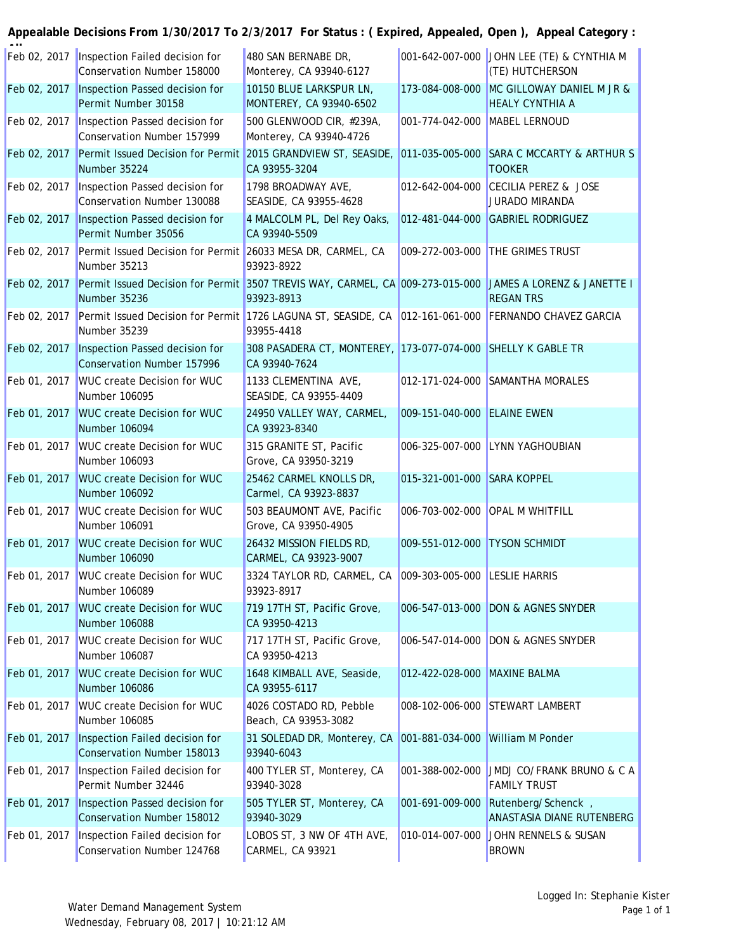| Feb 02, 2017 | Inspection Failed decision for<br>Conservation Number 158000                                                             | 480 SAN BERNABE DR,<br>Monterey, CA 93940-6127                                |                               | 001-642-007-000 JOHN LEE (TE) & CYNTHIA M<br>(TE) HUTCHERSON |
|--------------|--------------------------------------------------------------------------------------------------------------------------|-------------------------------------------------------------------------------|-------------------------------|--------------------------------------------------------------|
| Feb 02, 2017 | Inspection Passed decision for<br>Permit Number 30158                                                                    | 10150 BLUE LARKSPUR LN,<br>MONTEREY, CA 93940-6502                            | 173-084-008-000               | MC GILLOWAY DANIEL M JR &<br><b>HEALY CYNTHIA A</b>          |
| Feb 02, 2017 | Inspection Passed decision for<br>Conservation Number 157999                                                             | 500 GLENWOOD CIR, #239A,<br>Monterey, CA 93940-4726                           | 001-774-042-000 MABEL LERNOUD |                                                              |
| Feb 02, 2017 | Permit Issued Decision for Permit 2015 GRANDVIEW ST, SEASIDE,<br>Number 35224                                            | CA 93955-3204                                                                 |                               | 011-035-005-000 SARA C MCCARTY & ARTHUR S<br><b>TOOKER</b>   |
| Feb 02, 2017 | Inspection Passed decision for<br>Conservation Number 130088                                                             | 1798 BROADWAY AVE,<br>SEASIDE, CA 93955-4628                                  |                               | 012-642-004-000 CECILIA PEREZ & JOSE<br>JURADO MIRANDA       |
| Feb 02, 2017 | Inspection Passed decision for<br>Permit Number 35056                                                                    | 4 MALCOLM PL, Del Rey Oaks,<br>CA 93940-5509                                  |                               | 012-481-044-000 GABRIEL RODRIGUEZ                            |
| Feb 02, 2017 | Permit Issued Decision for Permit 26033 MESA DR, CARMEL, CA<br>Number 35213                                              | 93923-8922                                                                    |                               | 009-272-003-000 THE GRIMES TRUST                             |
| Feb 02, 2017 | Permit Issued Decision for Permit 3507 TREVIS WAY, CARMEL, CA 009-273-015-000 JAMES A LORENZ & JANETTE I<br>Number 35236 | 93923-8913                                                                    |                               | <b>REGAN TRS</b>                                             |
| Feb 02, 2017 | Permit Issued Decision for Permit 1726 LAGUNA ST, SEASIDE, CA 012-161-061-000 FERNANDO CHAVEZ GARCIA<br>Number 35239     | 93955-4418                                                                    |                               |                                                              |
| Feb 02, 2017 | Inspection Passed decision for<br>Conservation Number 157996                                                             | 308 PASADERA CT, MONTEREY, 173-077-074-000 SHELLY K GABLE TR<br>CA 93940-7624 |                               |                                                              |
| Feb 01, 2017 | <b>WUC create Decision for WUC</b><br>Number 106095                                                                      | 1133 CLEMENTINA AVE,<br>SEASIDE, CA 93955-4409                                |                               | 012-171-024-000 SAMANTHA MORALES                             |
| Feb 01, 2017 | <b>WUC create Decision for WUC</b><br>Number 106094                                                                      | 24950 VALLEY WAY, CARMEL,<br>CA 93923-8340                                    | 009-151-040-000 ELAINE EWEN   |                                                              |
| Feb 01, 2017 | <b>WUC create Decision for WUC</b><br>Number 106093                                                                      | 315 GRANITE ST, Pacific<br>Grove, CA 93950-3219                               |                               | 006-325-007-000 LYNN YAGHOUBIAN                              |
| Feb 01, 2017 | <b>WUC create Decision for WUC</b><br>Number 106092                                                                      | 25462 CARMEL KNOLLS DR,<br>Carmel, CA 93923-8837                              | 015-321-001-000 SARA KOPPEL   |                                                              |
| Feb 01, 2017 | <b>WUC create Decision for WUC</b><br>Number 106091                                                                      | 503 BEAUMONT AVE, Pacific<br>Grove, CA 93950-4905                             |                               | 006-703-002-000 OPAL M WHITFILL                              |
| Feb 01, 2017 | <b>WUC create Decision for WUC</b><br>Number 106090                                                                      | 26432 MISSION FIELDS RD,<br>CARMEL, CA 93923-9007                             | 009-551-012-000 TYSON SCHMIDT |                                                              |
|              | Feb 01, 2017 WUC create Decision for WUC<br>Number 106089                                                                | 3324 TAYLOR RD, CARMEL, CA 009-303-005-000 LESLIE HARRIS<br>93923-8917        |                               |                                                              |
| Feb 01, 2017 | <b>WUC create Decision for WUC</b><br>Number 106088                                                                      | 719 17TH ST, Pacific Grove,<br>CA 93950-4213                                  |                               | 006-547-013-000 DON & AGNES SNYDER                           |
| Feb 01, 2017 | <b>WUC create Decision for WUC</b><br>Number 106087                                                                      | 717 17TH ST, Pacific Grove,<br>CA 93950-4213                                  |                               | 006-547-014-000 DON & AGNES SNYDER                           |
| Feb 01, 2017 | <b>WUC create Decision for WUC</b><br>Number 106086                                                                      | 1648 KIMBALL AVE, Seaside,<br>CA 93955-6117                                   | 012-422-028-000               | <b>MAXINE BALMA</b>                                          |
| Feb 01, 2017 | <b>WUC create Decision for WUC</b><br>Number 106085                                                                      | 4026 COSTADO RD, Pebble<br>Beach, CA 93953-3082                               |                               | 008-102-006-000 STEWART LAMBERT                              |
| Feb 01, 2017 | Inspection Failed decision for<br>Conservation Number 158013                                                             | 31 SOLEDAD DR, Monterey, CA 001-881-034-000<br>93940-6043                     |                               | <b>William M Ponder</b>                                      |
| Feb 01, 2017 | Inspection Failed decision for<br>Permit Number 32446                                                                    | 400 TYLER ST, Monterey, CA<br>93940-3028                                      | 001-388-002-000               | JMDJ CO/FRANK BRUNO & C A<br><b>FAMILY TRUST</b>             |
| Feb 01, 2017 | Inspection Passed decision for<br><b>Conservation Number 158012</b>                                                      | 505 TYLER ST, Monterey, CA<br>93940-3029                                      | 001-691-009-000               | Rutenberg/Schenck,<br>ANASTASIA DIANE RUTENBERG              |
| Feb 01, 2017 | Inspection Failed decision for<br>Conservation Number 124768                                                             | LOBOS ST, 3 NW OF 4TH AVE,<br>CARMEL, CA 93921                                |                               | 010-014-007-000 JOHN RENNELS & SUSAN<br><b>BROWN</b>         |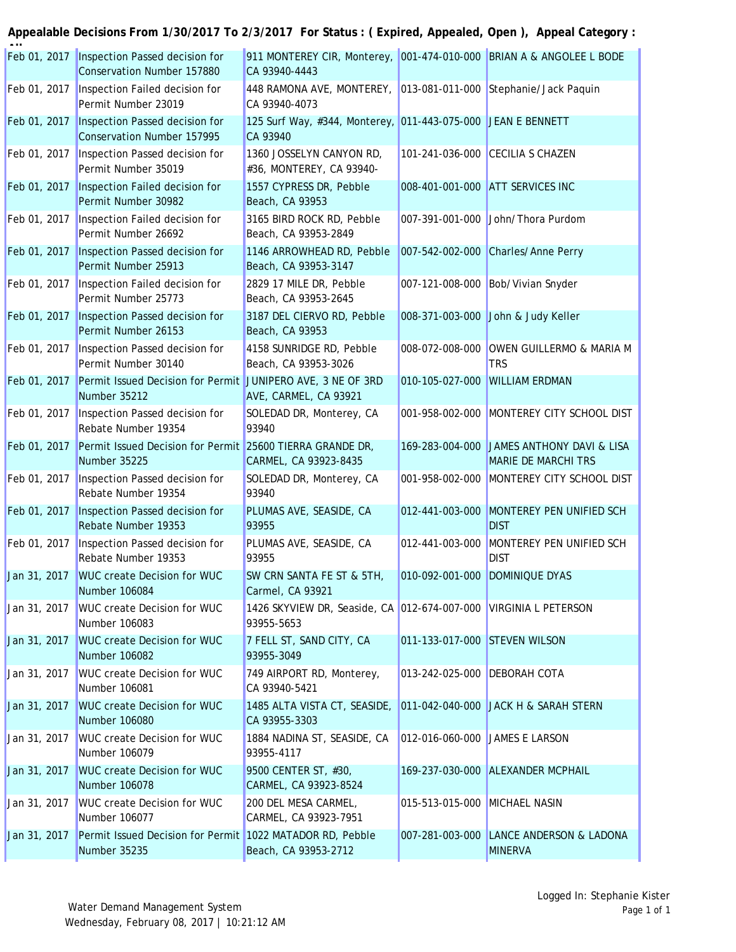| Feb 01, 2017 | Inspection Passed decision for<br>Conservation Number 157880                | 911 MONTEREY CIR, Monterey, 001-474-010-000 BRIAN A & ANGOLEE L BODE<br>CA 93940-4443 |                                |                                                         |
|--------------|-----------------------------------------------------------------------------|---------------------------------------------------------------------------------------|--------------------------------|---------------------------------------------------------|
| Feb 01, 2017 | Inspection Failed decision for<br>Permit Number 23019                       | 448 RAMONA AVE, MONTEREY, 013-081-011-000 Stephanie/Jack Paquin<br>CA 93940-4073      |                                |                                                         |
| Feb 01, 2017 | Inspection Passed decision for<br>Conservation Number 157995                | 125 Surf Way, #344, Monterey, 011-443-075-000 JEAN E BENNETT<br>CA 93940              |                                |                                                         |
| Feb 01, 2017 | Inspection Passed decision for<br>Permit Number 35019                       | 1360 JOSSELYN CANYON RD,<br>#36, MONTEREY, CA 93940-                                  |                                | 101-241-036-000 CECILIA S CHAZEN                        |
| Feb 01, 2017 | Inspection Failed decision for<br>Permit Number 30982                       | 1557 CYPRESS DR, Pebble<br>Beach, CA 93953                                            |                                | 008-401-001-000 ATT SERVICES INC                        |
| Feb 01, 2017 | Inspection Failed decision for<br>Permit Number 26692                       | 3165 BIRD ROCK RD, Pebble<br>Beach, CA 93953-2849                                     |                                | 007-391-001-000 John/Thora Purdom                       |
| Feb 01, 2017 | Inspection Passed decision for<br>Permit Number 25913                       | 1146 ARROWHEAD RD, Pebble<br>Beach, CA 93953-3147                                     | 007-542-002-000                | Charles/Anne Perry                                      |
| Feb 01, 2017 | Inspection Failed decision for<br>Permit Number 25773                       | 2829 17 MILE DR, Pebble<br>Beach, CA 93953-2645                                       | 007-121-008-000                | Bob/Vivian Snyder                                       |
| Feb 01, 2017 | Inspection Passed decision for<br>Permit Number 26153                       | 3187 DEL CIERVO RD, Pebble<br>Beach, CA 93953                                         | 008-371-003-000                | John & Judy Keller                                      |
| Feb 01, 2017 | Inspection Passed decision for<br>Permit Number 30140                       | 4158 SUNRIDGE RD, Pebble<br>Beach, CA 93953-3026                                      | 008-072-008-000                | OWEN GUILLERMO & MARIA M<br><b>TRS</b>                  |
| Feb 01, 2017 | Permit Issued Decision for Permit JUNIPERO AVE, 3 NE OF 3RD<br>Number 35212 | AVE, CARMEL, CA 93921                                                                 | 010-105-027-000                | <b>WILLIAM ERDMAN</b>                                   |
| Feb 01, 2017 | Inspection Passed decision for<br>Rebate Number 19354                       | SOLEDAD DR, Monterey, CA<br>93940                                                     | $ 001 - 958 - 002 - 000 $      | MONTEREY CITY SCHOOL DIST                               |
| Feb 01, 2017 | Permit Issued Decision for Permit 25600 TIERRA GRANDE DR,<br>Number 35225   | CARMEL, CA 93923-8435                                                                 | 169-283-004-000                | JAMES ANTHONY DAVI & LISA<br><b>MARIE DE MARCHI TRS</b> |
| Feb 01, 2017 | Inspection Passed decision for<br>Rebate Number 19354                       | SOLEDAD DR, Monterey, CA<br>93940                                                     | 001-958-002-000                | MONTEREY CITY SCHOOL DIST                               |
| Feb 01, 2017 | Inspection Passed decision for<br>Rebate Number 19353                       | PLUMAS AVE, SEASIDE, CA<br>93955                                                      | 012-441-003-000                | MONTEREY PEN UNIFIED SCH<br><b>DIST</b>                 |
| Feb 01, 2017 | Inspection Passed decision for<br>Rebate Number 19353                       | PLUMAS AVE, SEASIDE, CA<br>93955                                                      | 012-441-003-000                | MONTEREY PEN UNIFIED SCH<br><b>DIST</b>                 |
| Jan 31, 2017 | <b>WUC create Decision for WUC</b><br>Number 106084                         | SW CRN SANTA FE ST & 5TH,<br>Carmel, CA 93921                                         | 010-092-001-000                | <b>DOMINIQUE DYAS</b>                                   |
| Jan 31, 2017 | <b>WUC create Decision for WUC</b><br>Number 106083                         | 1426 SKYVIEW DR, Seaside, CA 012-674-007-000 VIRGINIA L PETERSON<br>93955-5653        |                                |                                                         |
| Jan 31, 2017 | <b>WUC create Decision for WUC</b><br>Number 106082                         | 7 FELL ST, SAND CITY, CA<br>93955-3049                                                | 011-133-017-000 STEVEN WILSON  |                                                         |
| Jan 31, 2017 | <b>WUC create Decision for WUC</b><br>Number 106081                         | 749 AIRPORT RD, Monterey,<br>CA 93940-5421                                            | $013 - 242 - 025 - 000$        | <b>DEBORAH COTA</b>                                     |
| Jan 31, 2017 | <b>WUC create Decision for WUC</b><br>Number 106080                         | 1485 ALTA VISTA CT, SEASIDE,<br>CA 93955-3303                                         |                                | 011-042-040-000 JACK H & SARAH STERN                    |
| Jan 31, 2017 | <b>WUC create Decision for WUC</b><br>Number 106079                         | 1884 NADINA ST, SEASIDE, CA<br>93955-4117                                             | 012-016-060-000 JAMES E LARSON |                                                         |
| Jan 31, 2017 | <b>WUC create Decision for WUC</b><br>Number 106078                         | 9500 CENTER ST, #30,<br>CARMEL, CA 93923-8524                                         |                                | 169-237-030-000 ALEXANDER MCPHAIL                       |
| Jan 31, 2017 | <b>WUC create Decision for WUC</b><br>Number 106077                         | 200 DEL MESA CARMEL,<br>CARMEL, CA 93923-7951                                         | 015-513-015-000                | <b>MICHAEL NASIN</b>                                    |
| Jan 31, 2017 | Permit Issued Decision for Permit 1022 MATADOR RD, Pebble<br>Number 35235   | Beach, CA 93953-2712                                                                  | 007-281-003-000                | <b>LANCE ANDERSON &amp; LADONA</b><br><b>MINERVA</b>    |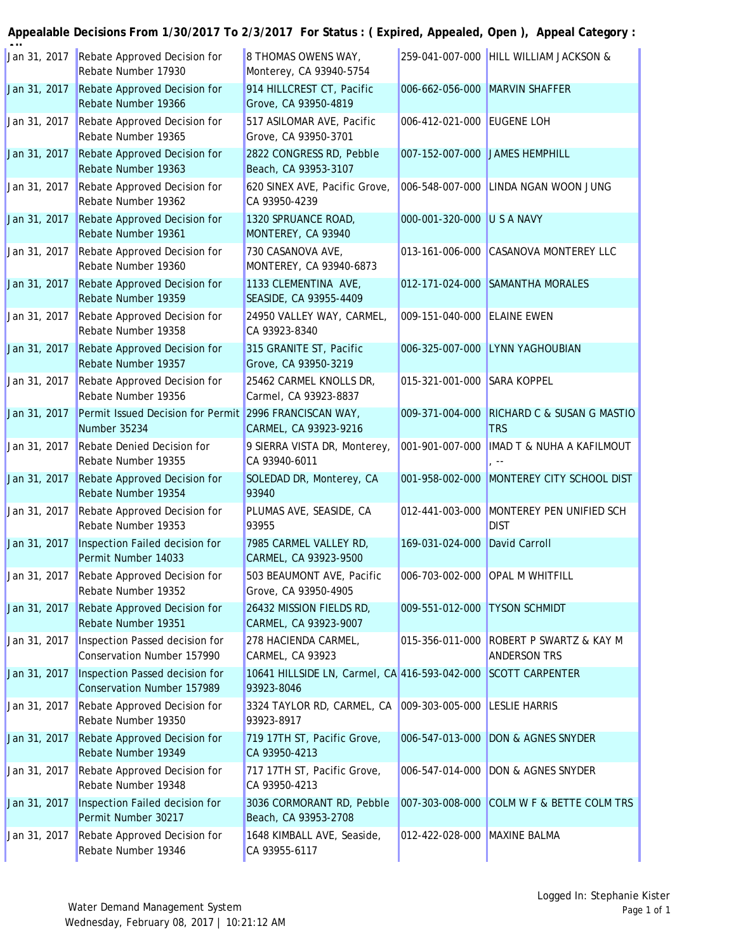| Jan 31, 2017 | Rebate Approved Decision for<br>Rebate Number 17930                    | 8 THOMAS OWENS WAY,<br>Monterey, CA 93940-5754                              |                                | 259-041-007-000 HILL WILLIAM JACKSON &                         |
|--------------|------------------------------------------------------------------------|-----------------------------------------------------------------------------|--------------------------------|----------------------------------------------------------------|
| Jan 31, 2017 | Rebate Approved Decision for<br>Rebate Number 19366                    | 914 HILLCREST CT, Pacific<br>Grove, CA 93950-4819                           |                                | 006-662-056-000 MARVIN SHAFFER                                 |
| Jan 31, 2017 | Rebate Approved Decision for<br>Rebate Number 19365                    | 517 ASILOMAR AVE, Pacific<br>Grove, CA 93950-3701                           | 006-412-021-000 EUGENE LOH     |                                                                |
| Jan 31, 2017 | Rebate Approved Decision for<br>Rebate Number 19363                    | 2822 CONGRESS RD, Pebble<br>Beach, CA 93953-3107                            | 007-152-007-000 JAMES HEMPHILL |                                                                |
| Jan 31, 2017 | Rebate Approved Decision for<br>Rebate Number 19362                    | 620 SINEX AVE, Pacific Grove,<br>CA 93950-4239                              |                                | 006-548-007-000 LINDA NGAN WOON JUNG                           |
| Jan 31, 2017 | Rebate Approved Decision for<br>Rebate Number 19361                    | 1320 SPRUANCE ROAD,<br>MONTEREY, CA 93940                                   | 000-001-320-000 U S A NAVY     |                                                                |
| Jan 31, 2017 | Rebate Approved Decision for<br>Rebate Number 19360                    | 730 CASANOVA AVE,<br>MONTEREY, CA 93940-6873                                |                                | 013-161-006-000 CASANOVA MONTEREY LLC                          |
| Jan 31, 2017 | Rebate Approved Decision for<br>Rebate Number 19359                    | 1133 CLEMENTINA AVE,<br>SEASIDE, CA 93955-4409                              |                                | 012-171-024-000 SAMANTHA MORALES                               |
| Jan 31, 2017 | Rebate Approved Decision for<br>Rebate Number 19358                    | 24950 VALLEY WAY, CARMEL,<br>CA 93923-8340                                  | 009-151-040-000 ELAINE EWEN    |                                                                |
| Jan 31, 2017 | Rebate Approved Decision for<br>Rebate Number 19357                    | 315 GRANITE ST, Pacific<br>Grove, CA 93950-3219                             |                                | 006-325-007-000 LYNN YAGHOUBIAN                                |
| Jan 31, 2017 | Rebate Approved Decision for<br>Rebate Number 19356                    | 25462 CARMEL KNOLLS DR,<br>Carmel, CA 93923-8837                            | 015-321-001-000 SARA KOPPEL    |                                                                |
| Jan 31, 2017 | Permit Issued Decision for Permit 2996 FRANCISCAN WAY,<br>Number 35234 | CARMEL, CA 93923-9216                                                       |                                | 009-371-004-000 RICHARD C & SUSAN G MASTIO<br><b>TRS</b>       |
| Jan 31, 2017 | Rebate Denied Decision for<br>Rebate Number 19355                      | 9 SIERRA VISTA DR, Monterey,<br>CA 93940-6011                               | 001-901-007-000                | <b>IMAD T &amp; NUHA A KAFILMOUT</b>                           |
| Jan 31, 2017 | Rebate Approved Decision for<br>Rebate Number 19354                    | SOLEDAD DR, Monterey, CA<br>93940                                           |                                | 001-958-002-000 MONTEREY CITY SCHOOL DIST                      |
| Jan 31, 2017 | Rebate Approved Decision for<br>Rebate Number 19353                    | PLUMAS AVE, SEASIDE, CA<br>93955                                            |                                | 012-441-003-000 MONTEREY PEN UNIFIED SCH<br><b>DIST</b>        |
| Jan 31, 2017 | Inspection Failed decision for<br>Permit Number 14033                  | 7985 CARMEL VALLEY RD,<br>CARMEL, CA 93923-9500                             | 169-031-024-000 David Carroll  |                                                                |
| Jan 31, 2017 | Rebate Approved Decision for<br>Rebate Number 19352                    | 503 BEAUMONT AVE, Pacific<br>Grove, CA 93950-4905                           |                                | 006-703-002-000 OPAL M WHITFILL                                |
| Jan 31, 2017 | Rebate Approved Decision for<br>Rebate Number 19351                    | 26432 MISSION FIELDS RD,<br>CARMEL, CA 93923-9007                           | 009-551-012-000 TYSON SCHMIDT  |                                                                |
| Jan 31, 2017 | Inspection Passed decision for<br>Conservation Number 157990           | 278 HACIENDA CARMEL,<br>CARMEL, CA 93923                                    |                                | 015-356-011-000 ROBERT P SWARTZ & KAY M<br><b>ANDERSON TRS</b> |
| Jan 31, 2017 | Inspection Passed decision for<br><b>Conservation Number 157989</b>    | 10641 HILLSIDE LN, Carmel, CA 416-593-042-000 SCOTT CARPENTER<br>93923-8046 |                                |                                                                |
| Jan 31, 2017 | Rebate Approved Decision for<br>Rebate Number 19350                    | 3324 TAYLOR RD, CARMEL, CA<br>93923-8917                                    | 009-303-005-000 LESLIE HARRIS  |                                                                |
| Jan 31, 2017 | Rebate Approved Decision for<br>Rebate Number 19349                    | 719 17TH ST, Pacific Grove,<br>CA 93950-4213                                |                                | 006-547-013-000 DON & AGNES SNYDER                             |
| Jan 31, 2017 | Rebate Approved Decision for<br>Rebate Number 19348                    | 717 17TH ST, Pacific Grove,<br>CA 93950-4213                                |                                | 006-547-014-000 DON & AGNES SNYDER                             |
| Jan 31, 2017 | Inspection Failed decision for<br>Permit Number 30217                  | 3036 CORMORANT RD, Pebble<br>Beach, CA 93953-2708                           |                                | 007-303-008-000 COLM W F & BETTE COLM TRS                      |
| Jan 31, 2017 | Rebate Approved Decision for<br>Rebate Number 19346                    | 1648 KIMBALL AVE, Seaside,<br>CA 93955-6117                                 | 012-422-028-000 MAXINE BALMA   |                                                                |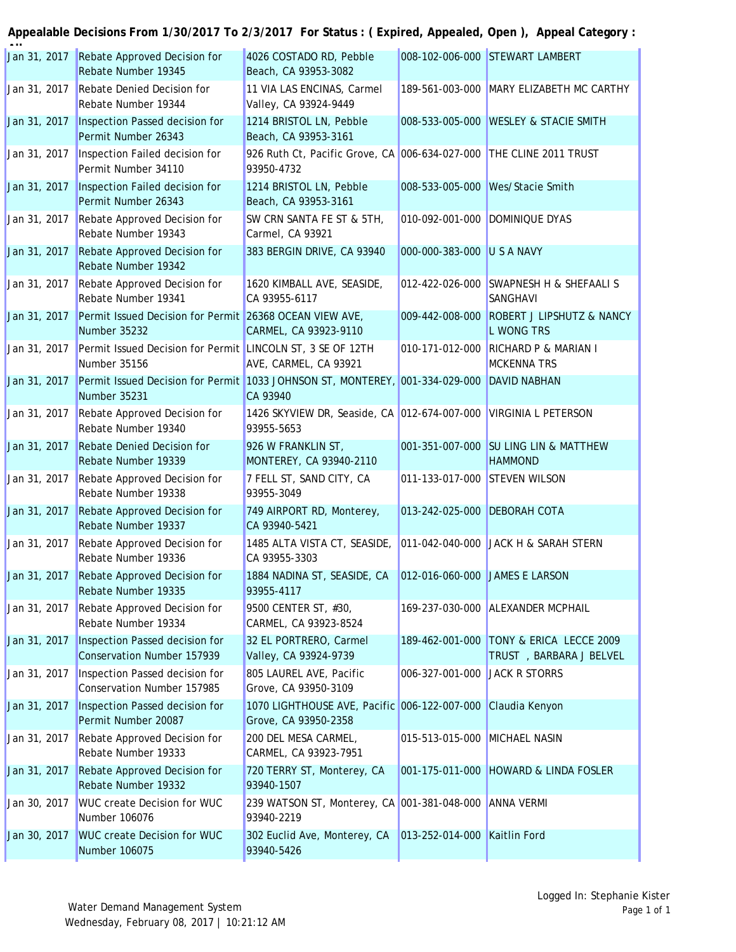| Jan 31, 2017 | Rebate Approved Decision for<br>Rebate Number 19345                                                       | 4026 COSTADO RD, Pebble<br>Beach, CA 93953-3082                                     |                                | 008-102-006-000 STEWART LAMBERT                                    |
|--------------|-----------------------------------------------------------------------------------------------------------|-------------------------------------------------------------------------------------|--------------------------------|--------------------------------------------------------------------|
| Jan 31, 2017 | Rebate Denied Decision for<br>Rebate Number 19344                                                         | 11 VIA LAS ENCINAS, Carmel<br>Valley, CA 93924-9449                                 |                                | 189-561-003-000 MARY ELIZABETH MC CARTHY                           |
| Jan 31, 2017 | Inspection Passed decision for<br>Permit Number 26343                                                     | 1214 BRISTOL LN, Pebble<br>Beach, CA 93953-3161                                     |                                | 008-533-005-000 WESLEY & STACIE SMITH                              |
| Jan 31, 2017 | Inspection Failed decision for<br>Permit Number 34110                                                     | 926 Ruth Ct, Pacific Grove, CA 006-634-027-000 THE CLINE 2011 TRUST<br>93950-4732   |                                |                                                                    |
| Jan 31, 2017 | Inspection Failed decision for<br>Permit Number 26343                                                     | 1214 BRISTOL LN, Pebble<br>Beach, CA 93953-3161                                     |                                | 008-533-005-000 Wes/Stacie Smith                                   |
| Jan 31, 2017 | Rebate Approved Decision for<br>Rebate Number 19343                                                       | SW CRN SANTA FE ST & 5TH,<br>Carmel, CA 93921                                       |                                | 010-092-001-000 DOMINIQUE DYAS                                     |
| Jan 31, 2017 | Rebate Approved Decision for<br>Rebate Number 19342                                                       | 383 BERGIN DRIVE, CA 93940                                                          | 000-000-383-000 U S A NAVY     |                                                                    |
| Jan 31, 2017 | Rebate Approved Decision for<br>Rebate Number 19341                                                       | 1620 KIMBALL AVE, SEASIDE,<br>CA 93955-6117                                         |                                | 012-422-026-000 SWAPNESH H & SHEFAALI S<br><b>SANGHAVI</b>         |
| Jan 31, 2017 | Permit Issued Decision for Permit 26368 OCEAN VIEW AVE,<br>Number 35232                                   | CARMEL, CA 93923-9110                                                               |                                | 009-442-008-000 ROBERT J LIPSHUTZ & NANCY<br><b>L WONG TRS</b>     |
| Jan 31, 2017 | Permit Issued Decision for Permit LINCOLN ST, 3 SE OF 12TH<br>Number 35156                                | AVE, CARMEL, CA 93921                                                               | 010-171-012-000                | RICHARD P & MARIAN I<br><b>MCKENNA TRS</b>                         |
| Jan 31, 2017 | Permit Issued Decision for Permit 1033 JOHNSON ST, MONTEREY, 001-334-029-000 DAVID NABHAN<br>Number 35231 | CA 93940                                                                            |                                |                                                                    |
| Jan 31, 2017 | Rebate Approved Decision for<br>Rebate Number 19340                                                       | 1426 SKYVIEW DR, Seaside, CA 012-674-007-000 VIRGINIA L PETERSON<br>93955-5653      |                                |                                                                    |
| Jan 31, 2017 | Rebate Denied Decision for<br>Rebate Number 19339                                                         | 926 W FRANKLIN ST,<br>MONTEREY, CA 93940-2110                                       |                                | 001-351-007-000 SU LING LIN & MATTHEW<br><b>HAMMOND</b>            |
| Jan 31, 2017 | Rebate Approved Decision for<br>Rebate Number 19338                                                       | 7 FELL ST, SAND CITY, CA<br>93955-3049                                              | 011-133-017-000 STEVEN WILSON  |                                                                    |
| Jan 31, 2017 | Rebate Approved Decision for<br>Rebate Number 19337                                                       | 749 AIRPORT RD, Monterey,<br>CA 93940-5421                                          | 013-242-025-000 DEBORAH COTA   |                                                                    |
| Jan 31, 2017 | Rebate Approved Decision for<br>Rebate Number 19336                                                       | 1485 ALTA VISTA CT, SEASIDE,<br>CA 93955-3303                                       |                                | 011-042-040-000 JACK H & SARAH STERN                               |
| Jan 31, 2017 | Rebate Approved Decision for<br>Rebate Number 19335                                                       | 1884 NADINA ST, SEASIDE, CA<br>93955-4117                                           | 012-016-060-000 JAMES E LARSON |                                                                    |
| Jan 31, 2017 | Rebate Approved Decision for<br>Rebate Number 19334                                                       | 9500 CENTER ST, #30,<br>CARMEL, CA 93923-8524                                       |                                | 169-237-030-000 ALEXANDER MCPHAIL                                  |
| Jan 31, 2017 | Inspection Passed decision for<br>Conservation Number 157939                                              | 32 EL PORTRERO, Carmel<br>Valley, CA 93924-9739                                     |                                | 189-462-001-000 TONY & ERICA LECCE 2009<br>TRUST, BARBARA J BELVEL |
| Jan 31, 2017 | Inspection Passed decision for<br>Conservation Number 157985                                              | 805 LAUREL AVE, Pacific<br>Grove, CA 93950-3109                                     | 006-327-001-000 JACK R STORRS  |                                                                    |
| Jan 31, 2017 | Inspection Passed decision for<br>Permit Number 20087                                                     | 1070 LIGHTHOUSE AVE, Pacific 006-122-007-000 Claudia Kenyon<br>Grove, CA 93950-2358 |                                |                                                                    |
| Jan 31, 2017 | Rebate Approved Decision for<br>Rebate Number 19333                                                       | 200 DEL MESA CARMEL,<br>CARMEL, CA 93923-7951                                       | 015-513-015-000 MICHAEL NASIN  |                                                                    |
| Jan 31, 2017 | Rebate Approved Decision for<br>Rebate Number 19332                                                       | 720 TERRY ST, Monterey, CA<br>93940-1507                                            |                                | 001-175-011-000 HOWARD & LINDA FOSLER                              |
| Jan 30, 2017 | <b>WUC create Decision for WUC</b><br>Number 106076                                                       | 239 WATSON ST, Monterey, CA 001-381-048-000 ANNA VERMI<br>93940-2219                |                                |                                                                    |
| Jan 30, 2017 | <b>WUC create Decision for WUC</b><br>Number 106075                                                       | 302 Euclid Ave, Monterey, CA<br>93940-5426                                          | 013-252-014-000 Kaitlin Ford   |                                                                    |
|              |                                                                                                           |                                                                                     |                                |                                                                    |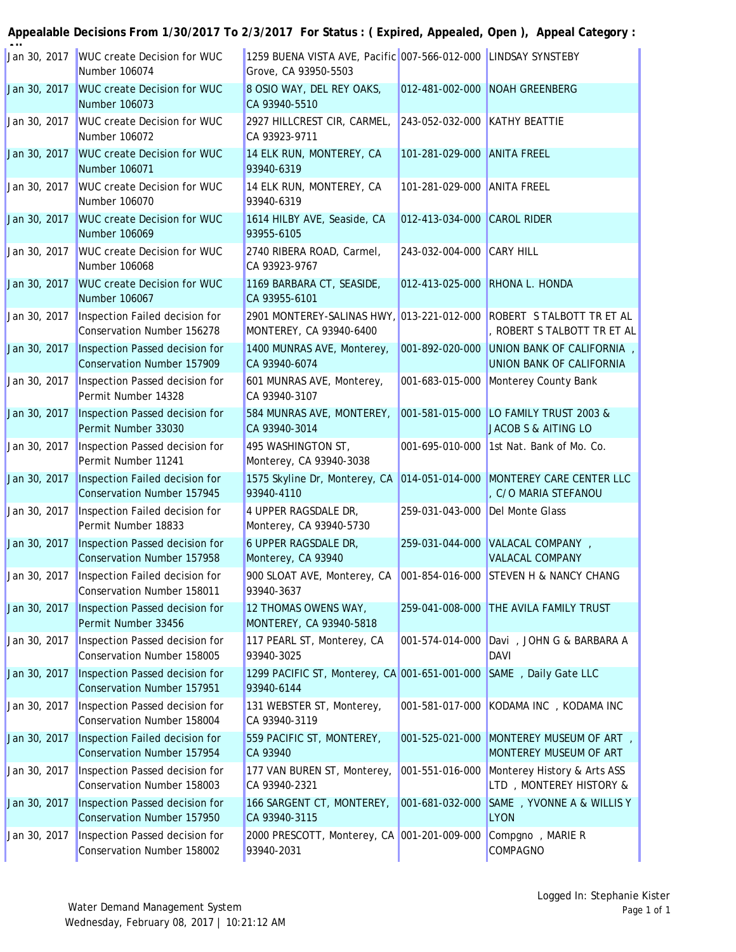| Jan 30, 2017 | <b>WUC create Decision for WUC</b><br>Number 106074                 | 1259 BUENA VISTA AVE, Pacific 007-566-012-000 LINDSAY SYNSTEBY<br>Grove, CA 93950-5503 |                                 |                                                                                                     |
|--------------|---------------------------------------------------------------------|----------------------------------------------------------------------------------------|---------------------------------|-----------------------------------------------------------------------------------------------------|
| Jan 30, 2017 | <b>WUC create Decision for WUC</b><br>Number 106073                 | 8 OSIO WAY, DEL REY OAKS,<br>CA 93940-5510                                             |                                 | 012-481-002-000 NOAH GREENBERG                                                                      |
| Jan 30, 2017 | <b>WUC create Decision for WUC</b><br>Number 106072                 | 2927 HILLCREST CIR, CARMEL, 243-052-032-000 KATHY BEATTIE<br>CA 93923-9711             |                                 |                                                                                                     |
| Jan 30, 2017 | <b>WUC create Decision for WUC</b><br>Number 106071                 | 14 ELK RUN, MONTEREY, CA<br>93940-6319                                                 | 101-281-029-000 ANITA FREEL     |                                                                                                     |
| Jan 30, 2017 | <b>WUC create Decision for WUC</b><br>Number 106070                 | 14 ELK RUN, MONTEREY, CA<br>93940-6319                                                 | 101-281-029-000 ANITA FREEL     |                                                                                                     |
| Jan 30, 2017 | <b>WUC create Decision for WUC</b><br>Number 106069                 | 1614 HILBY AVE, Seaside, CA<br>93955-6105                                              | 012-413-034-000                 | <b>CAROL RIDER</b>                                                                                  |
| Jan 30, 2017 | <b>WUC create Decision for WUC</b><br>Number 106068                 | 2740 RIBERA ROAD, Carmel,<br>CA 93923-9767                                             | 243-032-004-000                 | <b>CARY HILL</b>                                                                                    |
| Jan 30, 2017 | <b>WUC create Decision for WUC</b><br>Number 106067                 | 1169 BARBARA CT, SEASIDE,<br>CA 93955-6101                                             |                                 | 012-413-025-000 RHONA L. HONDA                                                                      |
| Jan 30, 2017 | Inspection Failed decision for<br><b>Conservation Number 156278</b> | MONTEREY, CA 93940-6400                                                                |                                 | 2901 MONTEREY-SALINAS HWY, 013-221-012-000 ROBERT S TALBOTT TR ET AL<br>, ROBERT S TALBOTT TR ET AL |
| Jan 30, 2017 | Inspection Passed decision for<br><b>Conservation Number 157909</b> | 1400 MUNRAS AVE, Monterey,<br>CA 93940-6074                                            | 001-892-020-000                 | UNION BANK OF CALIFORNIA,<br>UNION BANK OF CALIFORNIA                                               |
| Jan 30, 2017 | Inspection Passed decision for<br>Permit Number 14328               | 601 MUNRAS AVE, Monterey,<br>CA 93940-3107                                             |                                 | 001-683-015-000 Monterey County Bank                                                                |
| Jan 30, 2017 | Inspection Passed decision for<br>Permit Number 33030               | 584 MUNRAS AVE, MONTEREY,<br>CA 93940-3014                                             |                                 | 001-581-015-000 LO FAMILY TRUST 2003 &<br>JACOB S & AITING LO                                       |
| Jan 30, 2017 | Inspection Passed decision for<br>Permit Number 11241               | 495 WASHINGTON ST,<br>Monterey, CA 93940-3038                                          |                                 | 001-695-010-000 1st Nat. Bank of Mo. Co.                                                            |
| Jan 30, 2017 | Inspection Failed decision for<br><b>Conservation Number 157945</b> | 1575 Skyline Dr, Monterey, CA 014-051-014-000 MONTEREY CARE CENTER LLC<br>93940-4110   |                                 | , C/O MARIA STEFANOU                                                                                |
| Jan 30, 2017 | Inspection Failed decision for<br>Permit Number 18833               | 4 UPPER RAGSDALE DR,<br>Monterey, CA 93940-5730                                        | 259-031-043-000 Del Monte Glass |                                                                                                     |
| Jan 30, 2017 | Inspection Passed decision for<br><b>Conservation Number 157958</b> | 6 UPPER RAGSDALE DR,<br>Monterey, CA 93940                                             |                                 | 259-031-044-000 VALACAL COMPANY,<br><b>VALACAL COMPANY</b>                                          |
| Jan 30, 2017 | Inspection Failed decision for<br>Conservation Number 158011        | 900 SLOAT AVE, Monterey, CA 001-854-016-000 STEVEN H & NANCY CHANG<br>93940-3637       |                                 |                                                                                                     |
| Jan 30, 2017 | Inspection Passed decision for<br>Permit Number 33456               | 12 THOMAS OWENS WAY,<br>MONTEREY, CA 93940-5818                                        |                                 | 259-041-008-000 THE AVILA FAMILY TRUST                                                              |
| Jan 30, 2017 | Inspection Passed decision for<br>Conservation Number 158005        | 117 PEARL ST, Monterey, CA<br>93940-3025                                               | 001-574-014-000                 | Davi, JOHN G & BARBARA A<br><b>DAVI</b>                                                             |
| Jan 30, 2017 | Inspection Passed decision for<br><b>Conservation Number 157951</b> | 1299 PACIFIC ST, Monterey, CA 001-651-001-000<br>93940-6144                            |                                 | SAME, Daily Gate LLC                                                                                |
| Jan 30, 2017 | Inspection Passed decision for<br>Conservation Number 158004        | 131 WEBSTER ST, Monterey,<br>CA 93940-3119                                             | 001-581-017-000                 | KODAMA INC , KODAMA INC                                                                             |
| Jan 30, 2017 | Inspection Failed decision for<br>Conservation Number 157954        | 559 PACIFIC ST, MONTEREY,<br>CA 93940                                                  | 001-525-021-000                 | MONTEREY MUSEUM OF ART,<br>MONTEREY MUSEUM OF ART                                                   |
| Jan 30, 2017 | Inspection Passed decision for<br>Conservation Number 158003        | 177 VAN BUREN ST, Monterey,<br>CA 93940-2321                                           | 001-551-016-000                 | Monterey History & Arts ASS<br>LTD, MONTEREY HISTORY &                                              |
| Jan 30, 2017 | Inspection Passed decision for<br>Conservation Number 157950        | 166 SARGENT CT, MONTEREY,<br>CA 93940-3115                                             | 001-681-032-000                 | SAME, YVONNE A & WILLIS Y<br><b>LYON</b>                                                            |
| Jan 30, 2017 | Inspection Passed decision for<br>Conservation Number 158002        | 2000 PRESCOTT, Monterey, CA 001-201-009-000<br>93940-2031                              |                                 | Compgno, MARIE R<br><b>COMPAGNO</b>                                                                 |